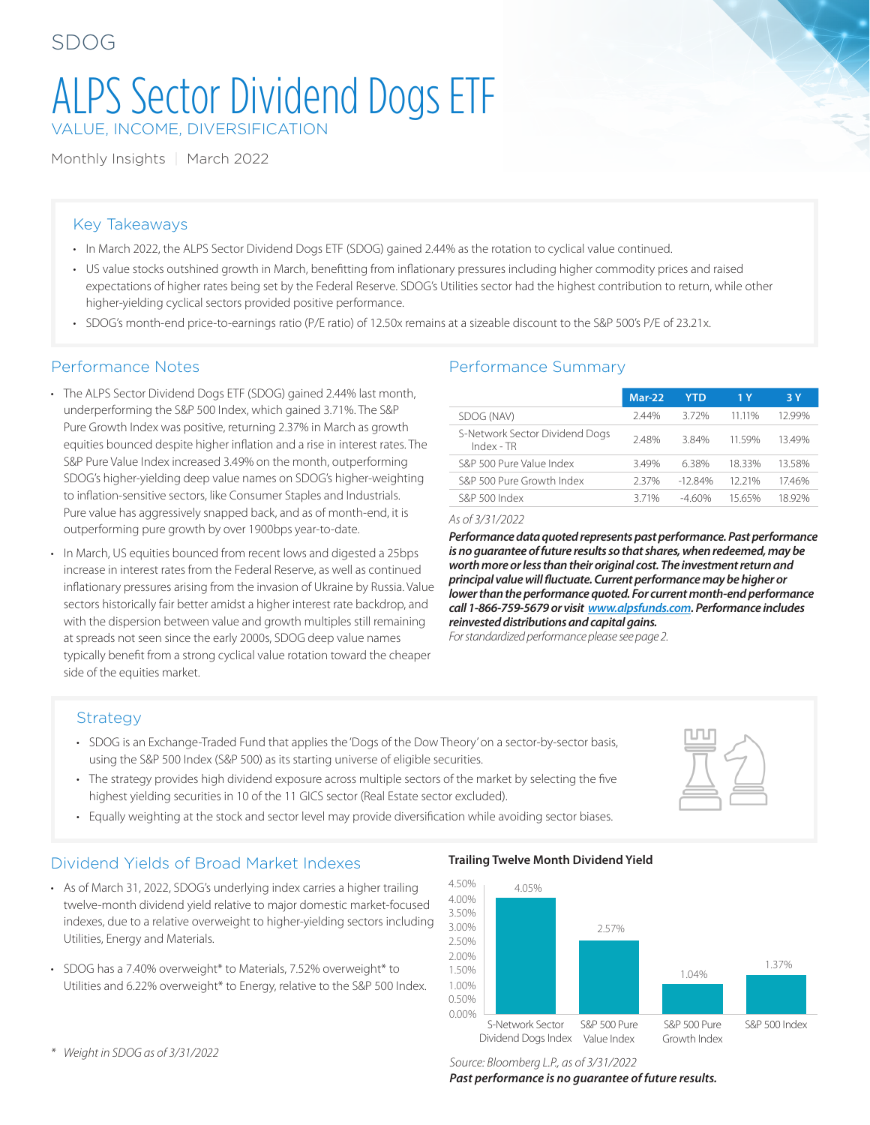# ALPS Sector Dividend Dogs ETF VALUE, INCOME, DIVERSIFICATION

Monthly Insights | March 2022

### Key Takeaways

- In March 2022, the ALPS Sector Dividend Dogs ETF (SDOG) gained 2.44% as the rotation to cyclical value continued.
- US value stocks outshined growth in March, benefitting from inflationary pressures including higher commodity prices and raised expectations of higher rates being set by the Federal Reserve. SDOG's Utilities sector had the highest contribution to return, while other higher-yielding cyclical sectors provided positive performance.
- SDOG's month-end price-to-earnings ratio (P/E ratio) of 12.50x remains at a sizeable discount to the S&P 500's P/E of 23.21x.

- The ALPS Sector Dividend Dogs ETF (SDOG) gained 2.44% last month, underperforming the S&P 500 Index, which gained 3.71%. The S&P Pure Growth Index was positive, returning 2.37% in March as growth equities bounced despite higher inflation and a rise in interest rates. The S&P Pure Value Index increased 3.49% on the month, outperforming SDOG's higher-yielding deep value names on SDOG's higher-weighting to inflation-sensitive sectors, like Consumer Staples and Industrials. Pure value has aggressively snapped back, and as of month-end, it is outperforming pure growth by over 1900bps year-to-date.
- In March, US equities bounced from recent lows and digested a 25bps increase in interest rates from the Federal Reserve, as well as continued inflationary pressures arising from the invasion of Ukraine by Russia. Value sectors historically fair better amidst a higher interest rate backdrop, and with the dispersion between value and growth multiples still remaining at spreads not seen since the early 2000s, SDOG deep value names typically benefit from a strong cyclical value rotation toward the cheaper side of the equities market.

#### Performance Notes **Performance Summary**

|                                              | Mar-22 | YTD       | 1 Y    | 3 Y    |  |
|----------------------------------------------|--------|-----------|--------|--------|--|
| SDOG (NAV)                                   | 2.44%  | 372%      | 11 11% | 12 99% |  |
| S-Network Sector Dividend Dogs<br>Index - TR | 2.48%  | 384%      | 1159%  | 1349%  |  |
| S&P 500 Pure Value Index                     | 349%   | 638%      | 1833%  | 1358%  |  |
| S&P 500 Pure Growth Index                    | 237%   | $-12.84%$ | 12 21% | 17.46% |  |
| S&P 500 Index                                | 371%   | -460%     | 15 65% | 18 92% |  |
|                                              |        |           |        |        |  |

*As of 3/31/2022*

*Performance data quoted represents past performance. Past performance is no guarantee of future results so that shares, when redeemed, may be worth more or less than their original cost. The investment return and principal value will fluctuate. Current performance may be higher or lower than the performance quoted. For current month-end performance call 1-866-759-5679 or visit [www.alpsfunds.com](http://www.alpsfunds.com). Performance includes reinvested distributions and capital gains.*

*For standardized performance please see page 2.*

#### Strategy

- SDOG is an Exchange-Traded Fund that applies the 'Dogs of the Dow Theory' on a sector-by-sector basis, using the S&P 500 Index (S&P 500) as its starting universe of eligible securities.
- The strategy provides high dividend exposure across multiple sectors of the market by selecting the five highest yielding securities in 10 of the 11 GICS sector (Real Estate sector excluded).
- Equally weighting at the stock and sector level may provide diversification while avoiding sector biases.

#### Dividend Yields of Broad Market Indexes

- As of March 31, 2022, SDOG's underlying index carries a higher trailing twelve-month dividend yield relative to major domestic market-focused indexes, due to a relative overweight to higher-yielding sectors including Utilities, Energy and Materials.
- SDOG has a 7.40% overweight\* to Materials, 7.52% overweight\* to Utilities and 6.22% overweight\* to Energy, relative to the S&P 500 Index.

#### **Trailing Twelve Month Dividend Yield**



*\* Weight in SDOG as of 3/31/2022* 

*Source: Bloomberg L.P., as of 3/31/2022 Past performance is no guarantee of future results.*

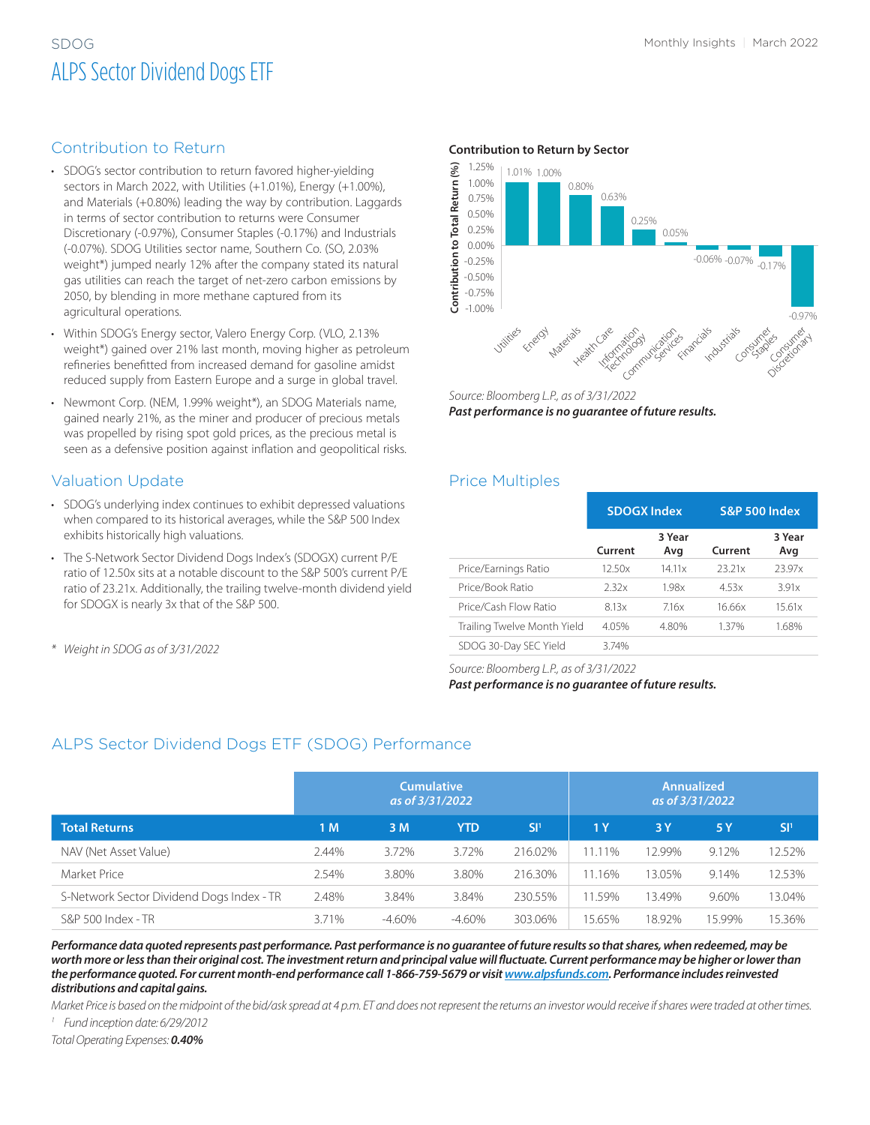# SDOG Monthly Insights | March 2022 ALPS Sector Dividend Dogs ETF

#### Contribution to Return

- SDOG's sector contribution to return favored higher-yielding sectors in March 2022, with Utilities (+1.01%), Energy (+1.00%), and Materials (+0.80%) leading the way by contribution. Laggards in terms of sector contribution to returns were Consumer Discretionary (-0.97%), Consumer Staples (-0.17%) and Industrials (-0.07%). SDOG Utilities sector name, Southern Co. (SO, 2.03% weight\*) jumped nearly 12% after the company stated its natural gas utilities can reach the target of net-zero carbon emissions by 2050, by blending in more methane captured from its agricultural operations.
- Within SDOG's Energy sector, Valero Energy Corp. (VLO, 2.13% weight\*) gained over 21% last month, moving higher as petroleum refineries benefitted from increased demand for gasoline amidst reduced supply from Eastern Europe and a surge in global travel.
- Newmont Corp. (NEM, 1.99% weight\*), an SDOG Materials name, gained nearly 21%, as the miner and producer of precious metals was propelled by rising spot gold prices, as the precious metal is seen as a defensive position against inflation and geopolitical risks.

#### Valuation Update

- SDOG's underlying index continues to exhibit depressed valuations when compared to its historical averages, while the S&P 500 Index exhibits historically high valuations.
- The S-Network Sector Dividend Dogs Index's (SDOGX) current P/E ratio of 12.50x sits at a notable discount to the S&P 500's current P/E ratio of 23.21x. Additionally, the trailing twelve-month dividend yield for SDOGX is nearly 3x that of the S&P 500.
- *\* Weight in SDOG as of 3/31/2022*

#### **Contribution to Return by Sector**



*Source: Bloomberg L.P., as of 3/31/2022 Past performance is no guarantee of future results.*

#### Price Multiples

|                             | <b>SDOGX Index</b> |               | <b>S&amp;P 500 Index</b> |               |  |
|-----------------------------|--------------------|---------------|--------------------------|---------------|--|
|                             | Current            | 3 Year<br>Avg | Current                  | 3 Year<br>Avg |  |
| Price/Earnings Ratio        | 12.50x             | 14.11x        | 23.21x                   | 23.97x        |  |
| Price/Book Ratio            | 2.32x              | 1.98x         | 4.53x                    | 3.91x         |  |
| Price/Cash Flow Ratio       | 8.13x              | 716x          | 16.66x                   | 15.61x        |  |
| Trailing Twelve Month Yield | 4.05%              | 4.80%         | 1.37%                    | 1.68%         |  |
| SDOG 30-Day SEC Yield       | 3.74%              |               |                          |               |  |

*Source: Bloomberg L.P., as of 3/31/2022 Past performance is no guarantee of future results.*

#### ALPS Sector Dividend Dogs ETF (SDOG) Performance

|                                           | <b>Cumulative</b><br>as of 3/31/2022 |           |            | <b>Annualized</b><br>as of 3/31/2022 |                |        |        |                 |
|-------------------------------------------|--------------------------------------|-----------|------------|--------------------------------------|----------------|--------|--------|-----------------|
| <b>Total Returns</b>                      | 1 M                                  | 3 M       | <b>YTD</b> | SI <sup>1</sup>                      | 1 <sub>Y</sub> | 3 Y    | 5 Y    | SI <sup>1</sup> |
| NAV (Net Asset Value)                     | 2.44%                                | 3.72%     | 3.72%      | 216.02%                              | 11.11%         | 12.99% | 9.12%  | 12.52%          |
| Market Price                              | 2.54%                                | 3.80%     | 3.80%      | 216.30%                              | 11.16%         | 13.05% | 9.14%  | 12.53%          |
| S-Network Sector Dividend Dogs Index - TR | 2.48%                                | 3.84%     | 3.84%      | 230.55%                              | 11.59%         | 13.49% | 9.60%  | 13.04%          |
| S&P 500 Index - TR                        | 3.71%                                | $-4.60\%$ | $-4.60\%$  | 303.06%                              | 15.65%         | 18.92% | 15.99% | 15.36%          |

*Performance data quoted represents past performance. Past performance is no guarantee of future results so that shares, when redeemed, may be worth more or less than their original cost. The investment return and principal value will fluctuate. Current performance may be higher or lower than the performance quoted. For current month-end performance call 1-866-759-5679 or visit [www.alpsfunds.com](http://www.alpsfunds.com). Performance includes reinvested distributions and capital gains.*

*Market Price is based on the midpoint of the bid/ask spread at 4 p.m. ET and does not represent the returns an investor would receive if shares were traded at other times. <sup>1</sup> Fund inception date: 6/29/2012*

*Total Operating Expenses: 0.40%*